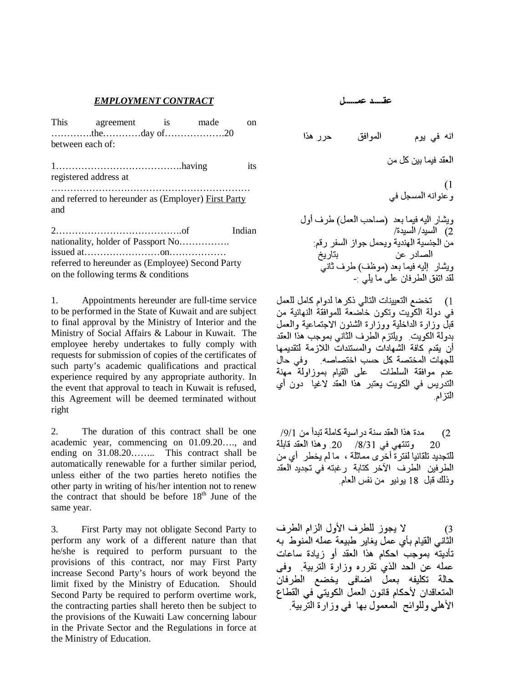## *EMPLOYMENT CONTRACT*

|     | This agreement is                                   | made | on     |
|-----|-----------------------------------------------------|------|--------|
|     |                                                     |      |        |
|     | between each of:                                    |      |        |
|     | registered address at                               |      | its    |
| and | and referred to hereunder as (Employer) First Party |      |        |
|     | nationality, holder of Passport No                  |      | Indian |
|     |                                                     |      |        |
|     | referred to hereunder as (Employee) Second Party    |      |        |
|     | on the following terms $\&$ conditions              |      |        |

1. Appointments hereunder are full-time service to be performed in the State of Kuwait and are subject to final approval by the Ministry of Interior and the Ministry of Social Affairs & Labour in Kuwait. The employee hereby undertakes to fully comply with requests for submission of copies of the certificates of such party's academic qualifications and practical experience required by any appropriate authority. In the event that approval to teach in Kuwait is refused, this Agreement will be deemed terminated without right

2. The duration of this contract shall be one academic year, commencing on 01.09.20…., and ending on 31.08.20…….. This contract shall be automatically renewable for a further similar period, unless either of the two parties hereto notifies the other party in writing of his/her intention not to renew the contract that should be before  $18<sup>th</sup>$  June of the same year.

3. First Party may not obligate Second Party to perform any work of a different nature than that he/she is required to perform pursuant to the provisions of this contract, nor may First Party increase Second Party's hours of work beyond the limit fixed by the Ministry of Education. Should Second Party be required to perform overtime work, the contracting parties shall hereto then be subject to the provisions of the Kuwaiti Law concerning labour in the Private Sector and the Regulations in force at the Ministry of Education.

-

عقسد عمسا،

[) تخضم التعيينات التالي ذكرها لدوام كامل للعمل فيْ دولة الكويت وتكون خاصّْعةُ للموافَّقةُ النهائية من قَبْلَ وزارة الداخلية ووزارة الشئون الاجتماعية والعمل بدولة الكويت ويلتزم الطرف الثاني بموجب هذا العقد أن يقدم كافة الشهادات والمستندات اللازمة لتقديمها للجهات المختصة كل حسب اختصاصه وفى حال عدم موافقة السلطات على القيام بموزاولة مهنة التدريس في الكويت يعتبر هذا العقد لاغيا دون أي التز ام

مدة هذا العقد سنة در اسية كاملة تبدأ من 9/1/  $(2)$ وتنتهي في 8/31/ 20. وهذا العقد قابلة 20 للتجديد تلقائيا لفتر ة أخرَ ي مماثلة ، ما لم يخطر أي من الطرفين الطرف الآخر كتابة رغبته في تجديد العقد و ذلك قبل 18 يونيو - من نفس العام

لا يجوز للطرف الأول الزام الطرف  $\left(3\right)$ الثَّاني القيام بأي عمل يغاير طبيعة عمله المنوط به تأديته بموجب احكام هذا العقد أو زيادة ساعات عمله عن الحد الذي تقرره وزارة التربية ٍ وفي حالة تكليفه بعمل اضافي يخضع الطرفان المتعاقدان لأحكام قانون العمل الكويتي في القطاع الأهلي وللوائح المعمول بها في وزارة التربية.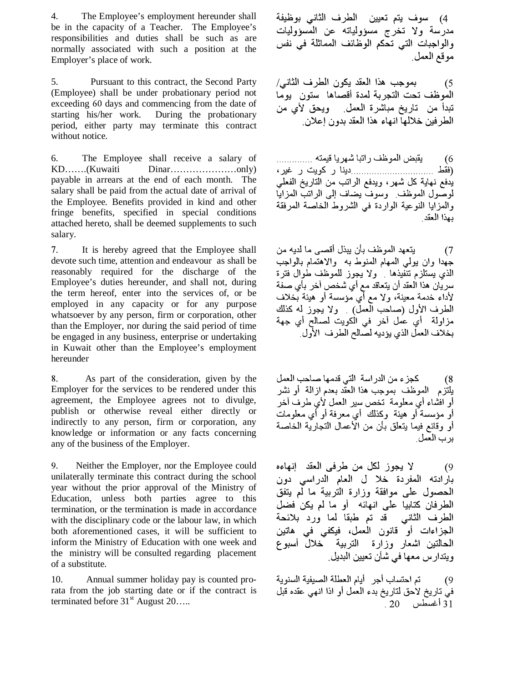4. The Employee's employment hereunder shall be in the capacity of a Teacher. The Employee's responsibilities and duties shall be such as are normally associated with such a position at the Employer's place of work.

5. Pursuant to this contract, the Second Party (Employee) shall be under probationary period not exceeding 60 days and commencing from the date of starting his/her work. During the probationary period, either party may terminate this contract without notice.

6. The Employee shall receive a salary of KD…….(Kuwaiti Dinar…………………only) payable in arrears at the end of each month. The salary shall be paid from the actual date of arrival of the Employee. Benefits provided in kind and other fringe benefits, specified in special conditions attached hereto, shall be deemed supplements to such salary.

. It is hereby agreed that the Employee shall devote such time, attention and endeavour as shall be reasonably required for the discharge of the Employee's duties hereunder, and shall not, during the term hereof, enter into the services of, or be employed in any capacity or for any purpose whatsoever by any person, firm or corporation, other than the Employer, nor during the said period of time be engaged in any business, enterprise or undertaking in Kuwait other than the Employee's employment hereunder

. As part of the consideration, given by the Employer for the services to be rendered under this agreement, the Employee agrees not to divulge, publish or otherwise reveal either directly or indirectly to any person, firm or corporation, any knowledge or information or any facts concerning any of the business of the Employer.

. Neither the Employer, nor the Employee could unilaterally terminate this contract during the school year without the prior approval of the Ministry of Education, unless both parties agree to this termination, or the termination is made in accordance with the disciplinary code or the labour law, in which both aforementioned cases, it will be sufficient to inform the Ministry of Education with one week and the ministry will be consulted regarding placement of a substitute.

10. Annual summer holiday pay is counted prorata from the job starting date or if the contract is terminated before  $31<sup>st</sup>$  August 20....

4) سوف يتم تعيين الطرف الثاني بوظيفة مدرسة ولا تخرج مسؤولياته عن المُسؤوليات والوَّاجباتُ التي تَحكم الوَّظَّانَف المَماثلة فيَّ نَفْس مو قع العمل

بموجب هذا المغد يكون الطرف الثانبي/  $(5)$ الموظف تحت التجربة لمدة أقصاها ستون يوما تبدأ من تاريخ مباشرة العمل ويحق لأى من الطر فين خلالها انهاء هذا العقد بدون إعلان

يقبض الموظف راتبا شهريا قيمته .............. - 6 يدفع نهاية كل شهر، ويدفع الراتب من التاريخ الفعلي لوصُّول الموظف وسوفٌ يضاف إلى الراتب المزايًّا وَالْمَزَايَا النوْعِية الوارْدةُ في الشروط الْخَاصَة المرْفَقَة يهذا العقد

يتعهد الموظف بأن يبذل أقصىي ما لديه من  $(7)$ جُهدا وان يولمي الممهام المنوط به ۖ والاهتمام بالواجب الذي يُستلزم تنفَّيذها فولا يجوز للمُوظف طوالُ فترة سريّان هذا العقد أن يتعاقد مع أيّ شخصّ آخر بأّي صفّة سريين مصطلحة من يسعد منع من السلس السرب في سعة<br>لأداء خدمة معينة، ولا مع أي مؤسسة أو هيئة بخلاف الطرف الأول (صاحب العملّ) . ولا يجوز له كذلك مزاولة أي عَمل آخر في الكويت لصـالح أي جهة .<br>بخلاف العمل الذي يؤديه لصالح الطرف الأول

كجزء من الدراسة التي قدمها صاحب العمل يلتَّزم الموظف بموجب هذا العقَّد بعدم از المة أو نشر أو افشاء أي معلومة تخص سير العمل لأي طرف آخر أو مؤسسة أو هيئة ۖ وكذلك ۖ أي معرفة أو أي معلومات أو وقائع فيما يتعلق بأن من الأعمال التجارية الخاصة بر ب العمل

لا يجوز لكل من طرفي العقد النهاءه  $(9)$ بارادته المفردة خلا ل العام الدراسي دون الحصول علىي موافقة وزارة التربية ما لّم يتفق الطرفان كتابيا على انهائه أو ما لم يكن فضل الطرف الثاني قد تم طبقا لما ورد بلائحة الجزاءات أو قانون العمل، فيكفى في هاتين المحالتين اشعار وزارة التربية خلال أسبوع ويتدار س معها في شأن تعيين البديل.

تم احتساب أجر – أيام العطلة الصيفية السنوية -69 في تاريخ لأحق لتاريخ بدّء العمل أو اذا انهي عقده قبل  $-20$  أغسطس 20